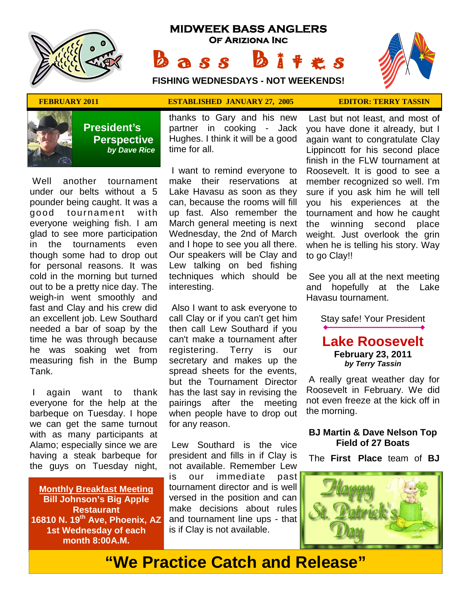

# **MIDWEEK BASS ANGLERS Of Ariziona Inc**

Bass Bites **FISHING WEDNESDAYS - NOT WEEKENDS!**



### **FEBRUARY 2011 ESTABLISHED JANUARY 27, 2005 EDITOR: TERRY TASSIN**



 **President's Perspective**   *by Dave Rice*

 Well another tournament under our belts without a 5 pounder being caught. It was a good tournament with everyone weighing fish. I am glad to see more participation in the tournaments even though some had to drop out for personal reasons. It was cold in the morning but turned out to be a pretty nice day. The weigh-in went smoothly and fast and Clay and his crew did an excellent job. Lew Southard needed a bar of soap by the time he was through because he was soaking wet from measuring fish in the Bump Tank.

 I again want to thank everyone for the help at the barbeque on Tuesday. I hope we can get the same turnout with as many participants at Alamo; especially since we are having a steak barbeque for the guys on Tuesday night,

**Monthly Breakfast Meeting Bill Johnson's Big Apple Restaurant 16810 N. 19th Ave, Phoenix, AZ 1st Wednesday of each month 8:00A.M.** 

thanks to Gary and his new partner in cooking - Jack Hughes. I think it will be a good time for all.

 I want to remind everyone to make their reservations at Lake Havasu as soon as they can, because the rooms will fill up fast. Also remember the March general meeting is next Wednesday, the 2nd of March and I hope to see you all there. Our speakers will be Clay and Lew talking on bed fishing techniques which should be interesting.

 Also I want to ask everyone to call Clay or if you can't get him then call Lew Southard if you can't make a tournament after registering. Terry is our secretary and makes up the spread sheets for the events, but the Tournament Director has the last say in revising the pairings after the meeting when people have to drop out for any reason.

 Lew Southard is the vice president and fills in if Clay is not available. Remember Lew is our immediate past tournament director and is well versed in the position and can make decisions about rules and tournament line ups - that is if Clay is not available.

 Last but not least, and most of you have done it already, but I again want to congratulate Clay Lippincott for his second place finish in the FLW tournament at Roosevelt. It is good to see a member recognized so well. I'm sure if you ask him he will tell you his experiences at the tournament and how he caught

the winning second place weight. Just overlook the grin when he is telling his story. Way to go Clay!!

 See you all at the next meeting and hopefully at the Lake Havasu tournament.

Stay safe! Your President

**Lake Roosevelt February 23, 2011**  *by Terry Tassin* 

 A really great weather day for Roosevelt in February. We did not even freeze at the kick off in the morning.

### **BJ Martin & Dave Nelson Top Field of 27 Boats**

The **First Place** team of **BJ** 



**"We Practice Catch and Release"**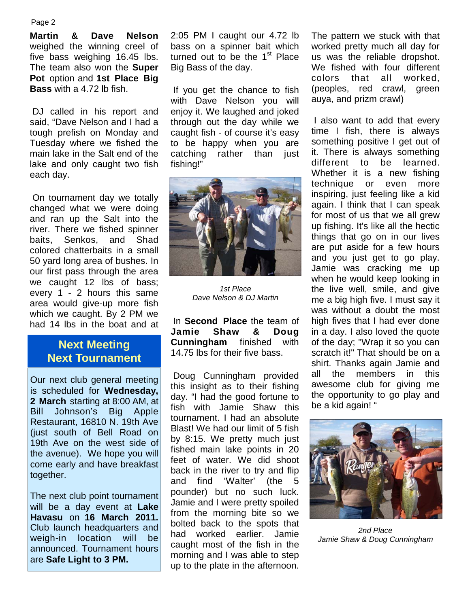#### Page 2

**Martin & Dave Nelson**  weighed the winning creel of five bass weighing 16.45 lbs. The team also won the **Super Pot** option and **1st Place Big Bass** with a 4.72 lb fish.

 DJ called in his report and said, "Dave Nelson and I had a tough prefish on Monday and Tuesday where we fished the main lake in the Salt end of the lake and only caught two fish each day.

 On tournament day we totally changed what we were doing and ran up the Salt into the river. There we fished spinner baits, Senkos, and Shad colored chatterbaits in a small 50 yard long area of bushes. In our first pass through the area we caught 12 lbs of bass; every 1 - 2 hours this same area would give-up more fish which we caught. By 2 PM we had 14 lbs in the boat and at

## **Next Meeting Next Tournament**

Our next club general meeting is scheduled for **Wednesday, 2 March** starting at 8:00 AM, at Bill Johnson's Big Apple Restaurant, 16810 N. 19th Ave (just south of Bell Road on 19th Ave on the west side of the avenue). We hope you will come early and have breakfast together.

The next club point tournament will be a day event at **Lake Havasu** on **16 March 2011.**  Club launch headquarters and weigh-in location will be announced. Tournament hours are **Safe Light to 3 PM.**

2:05 PM I caught our 4.72 lb bass on a spinner bait which turned out to be the  $1<sup>st</sup>$  Place Big Bass of the day.

 If you get the chance to fish with Dave Nelson you will enjoy it. We laughed and joked through out the day while we caught fish - of course it's easy to be happy when you are catching rather than just fishing!"



*1st Place Dave Nelson & DJ Martin* 

 In **Second Place** the team of **Jamie Shaw & Doug Cunningham** finished with 14.75 lbs for their five bass.

 Doug Cunningham provided this insight as to their fishing day. "I had the good fortune to fish with Jamie Shaw this tournament. I had an absolute Blast! We had our limit of 5 fish by 8:15. We pretty much just fished main lake points in 20 feet of water. We did shoot back in the river to try and flip and find 'Walter' (the 5 pounder) but no such luck. Jamie and I were pretty spoiled from the morning bite so we bolted back to the spots that had worked earlier. Jamie caught most of the fish in the morning and I was able to step up to the plate in the afternoon.

The pattern we stuck with that worked pretty much all day for us was the reliable dropshot. We fished with four different colors that all worked, (peoples, red crawl, green auya, and prizm crawl)

 I also want to add that every time I fish, there is always something positive I get out of it. There is always something different to be learned. Whether it is a new fishing technique or even more inspiring, just feeling like a kid again. I think that I can speak for most of us that we all grew up fishing. It's like all the hectic things that go on in our lives are put aside for a few hours and you just get to go play. Jamie was cracking me up when he would keep looking in the live well, smile, and give me a big high five. I must say it was without a doubt the most high fives that I had ever done in a day. I also loved the quote of the day; "Wrap it so you can scratch it!" That should be on a shirt. Thanks again Jamie and all the members in this awesome club for giving me the opportunity to go play and be a kid again! "



*2nd Place Jamie Shaw & Doug Cunningham*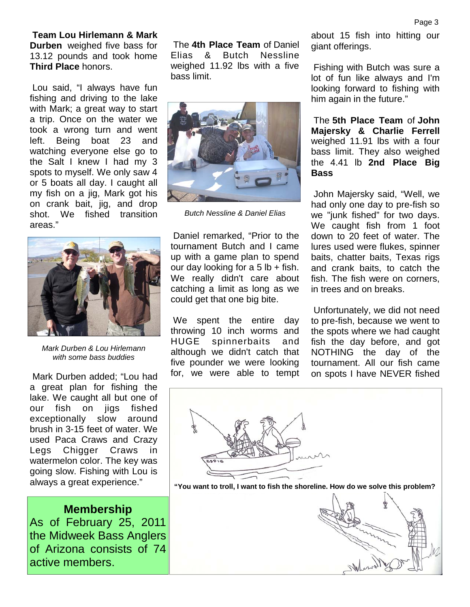**Team Lou Hirlemann & Mark Durben** weighed five bass for 13.12 pounds and took home **Third Place** honors.

 Lou said, "I always have fun fishing and driving to the lake with Mark; a great way to start a trip. Once on the water we took a wrong turn and went left. Being boat 23 and watching everyone else go to the Salt I knew I had my 3 spots to myself. We only saw 4 or 5 boats all day. I caught all my fish on a jig, Mark got his on crank bait, jig, and drop shot. We fished transition areas."



*Mark Durben & Lou Hirlemann with some bass buddies*

 Mark Durben added; "Lou had a great plan for fishing the lake. We caught all but one of our fish on jigs fished exceptionally slow around brush in 3-15 feet of water. We used Paca Craws and Crazy Legs Chigger Craws in watermelon color. The key was going slow. Fishing with Lou is always a great experience."

**Membership** As of February 25, 2011 the Midweek Bass Anglers of Arizona consists of 74 active members.

 The **4th Place Team** of Daniel Elias & Butch Nessline weighed 11.92 lbs with a five bass limit.



*Butch Nessline & Daniel Elias* 

 Daniel remarked, "Prior to the tournament Butch and I came up with a game plan to spend our day looking for a  $5$  lb + fish. We really didn't care about catching a limit as long as we could get that one big bite.

 We spent the entire day throwing 10 inch worms and HUGE spinnerbaits and although we didn't catch that five pounder we were looking for, we were able to tempt about 15 fish into hitting our giant offerings.

 Fishing with Butch was sure a lot of fun like always and I'm looking forward to fishing with him again in the future."

 The **5th Place Team** of **John Majersky & Charlie Ferrell**  weighed 11.91 lbs with a four bass limit. They also weighed the 4.41 lb **2nd Place Big Bass** 

John Majersky said, "Well, we had only one day to pre-fish so we "junk fished" for two days. We caught fish from 1 foot down to 20 feet of water. The lures used were flukes, spinner baits, chatter baits, Texas rigs and crank baits, to catch the fish. The fish were on corners, in trees and on breaks.

 Unfortunately, we did not need to pre-fish, because we went to the spots where we had caught fish the day before, and got NOTHING the day of the tournament. All our fish came on spots I have NEVER fished



**"You want to troll, I want to fish the shoreline. How do we solve this problem?** 

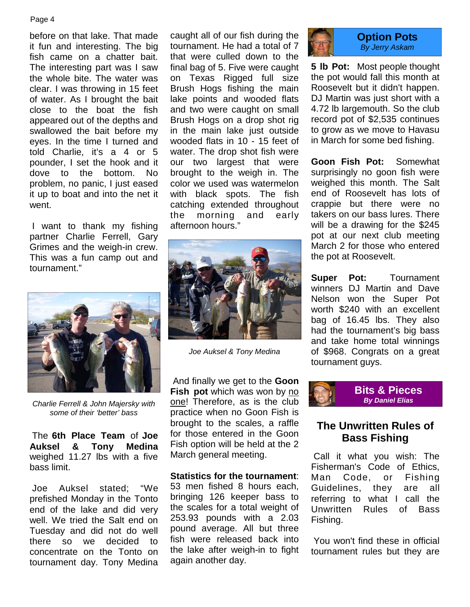#### Page 4

before on that lake. That made it fun and interesting. The big fish came on a chatter bait. The interesting part was I saw the whole bite. The water was clear. I was throwing in 15 feet of water. As I brought the bait close to the boat the fish appeared out of the depths and swallowed the bait before my eyes. In the time I turned and told Charlie, it's a 4 or 5 pounder, I set the hook and it dove to the bottom. No problem, no panic, I just eased it up to boat and into the net it went.

 I want to thank my fishing partner Charlie Ferrell, Gary Grimes and the weigh-in crew. This was a fun camp out and tournament."



*Charlie Ferrell & John Majersky with some of their 'better' bass* 

 The **6th Place Team** of **Joe Auksel & Tony Medina**  weighed 11.27 lbs with a five bass limit.

 Joe Auksel stated; "We prefished Monday in the Tonto end of the lake and did very well. We tried the Salt end on Tuesday and did not do well there so we decided to concentrate on the Tonto on tournament day. Tony Medina

caught all of our fish during the tournament. He had a total of 7 that were culled down to the final bag of 5. Five were caught on Texas Rigged full size Brush Hogs fishing the main lake points and wooded flats and two were caught on small Brush Hogs on a drop shot rig in the main lake just outside wooded flats in 10 - 15 feet of water. The drop shot fish were our two largest that were brought to the weigh in. The color we used was watermelon with black spots. The fish catching extended throughout the morning and early afternoon hours."



*Joe Auksel & Tony Medina* 

 And finally we get to the **Goon Fish pot** which was won by no one! Therefore, as is the club practice when no Goon Fish is brought to the scales, a raffle for those entered in the Goon Fish option will be held at the 2 March general meeting.

#### **Statistics for the tournament**:

53 men fished 8 hours each, bringing 126 keeper bass to the scales for a total weight of 253.93 pounds with a 2.03 pound average. All but three fish were released back into the lake after weigh-in to fight again another day.



#### **Option Pots**  *By Jerry Askam*

**5 lb Pot:** Most people thought the pot would fall this month at Roosevelt but it didn't happen. DJ Martin was just short with a 4.72 lb largemouth. So the club record pot of \$2,535 continues to grow as we move to Havasu in March for some bed fishing.

**Goon Fish Pot:** Somewhat surprisingly no goon fish were weighed this month. The Salt end of Roosevelt has lots of crappie but there were no takers on our bass lures. There will be a drawing for the \$245 pot at our next club meeting March 2 for those who entered the pot at Roosevelt.

**Super Pot:** Tournament winners DJ Martin and Dave Nelson won the Super Pot worth \$240 with an excellent bag of 16.45 lbs. They also had the tournament's big bass and take home total winnings of \$968. Congrats on a great tournament guys.



## **The Unwritten Rules of Bass Fishing**

 Call it what you wish: The Fisherman's Code of Ethics, Man Code, or Fishing Guidelines, they are all referring to what I call the Unwritten Rules of Bass Fishing.

 You won't find these in official tournament rules but they are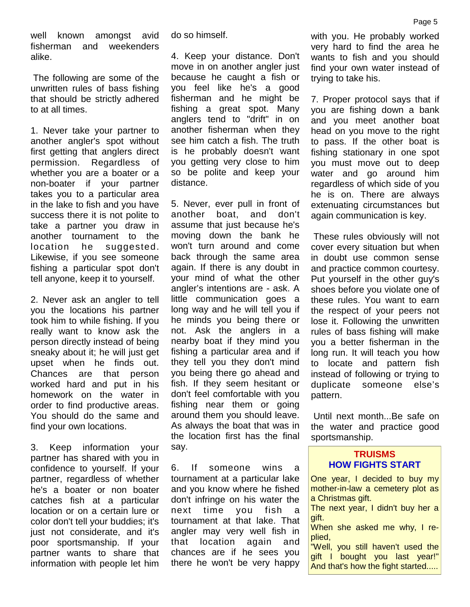well known amongst avid fisherman and weekenders alike.

 The following are some of the unwritten rules of bass fishing that should be strictly adhered to at all times.

1. Never take your partner to another angler's spot without first getting that anglers direct permission. Regardless of whether you are a boater or a non-boater if your partner takes you to a particular area in the lake to fish and you have success there it is not polite to take a partner you draw in another tournament to the location he suggested. Likewise, if you see someone fishing a particular spot don't tell anyone, keep it to yourself.

2. Never ask an angler to tell you the locations his partner took him to while fishing. If you really want to know ask the person directly instead of being sneaky about it; he will just get upset when he finds out. Chances are that person worked hard and put in his homework on the water in order to find productive areas. You should do the same and find your own locations.

3. Keep information your partner has shared with you in confidence to yourself. If your partner, regardless of whether he's a boater or non boater catches fish at a particular location or on a certain lure or color don't tell your buddies; it's just not considerate, and it's poor sportsmanship. If your partner wants to share that information with people let him do so himself.

4. Keep your distance. Don't move in on another angler just because he caught a fish or you feel like he's a good fisherman and he might be fishing a great spot. Many anglers tend to "drift" in on another fisherman when they see him catch a fish. The truth is he probably doesn't want you getting very close to him so be polite and keep your distance.

5. Never, ever pull in front of another boat, and don't assume that just because he's moving down the bank he won't turn around and come back through the same area again. If there is any doubt in your mind of what the other angler's intentions are - ask. A little communication goes a long way and he will tell you if he minds you being there or not. Ask the anglers in a nearby boat if they mind you fishing a particular area and if they tell you they don't mind you being there go ahead and fish. If they seem hesitant or don't feel comfortable with you fishing near them or going around them you should leave. As always the boat that was in the location first has the final say.

6. If someone wins a tournament at a particular lake and you know where he fished don't infringe on his water the next time you fish a tournament at that lake. That angler may very well fish in that location again and chances are if he sees you there he won't be very happy

with you. He probably worked very hard to find the area he wants to fish and you should find your own water instead of trying to take his.

7. Proper protocol says that if you are fishing down a bank and you meet another boat head on you move to the right to pass. If the other boat is fishing stationary in one spot you must move out to deep water and go around him regardless of which side of you he is on. There are always extenuating circumstances but again communication is key.

 These rules obviously will not cover every situation but when in doubt use common sense and practice common courtesy. Put yourself in the other guy's shoes before you violate one of these rules. You want to earn the respect of your peers not lose it. Following the unwritten rules of bass fishing will make you a better fisherman in the long run. It will teach you how to locate and pattern fish instead of following or trying to duplicate someone else's pattern.

 Until next month...Be safe on the water and practice good sportsmanship.

### **TRUISMS HOW FIGHTS START**

One year, I decided to buy my mother-in-law a cemetery plot as a Christmas gift.

The next year, I didn't buy her a gift.

When she asked me why, I replied,

"Well, you still haven't used the gift I bought you last year!" And that's how the fight started.....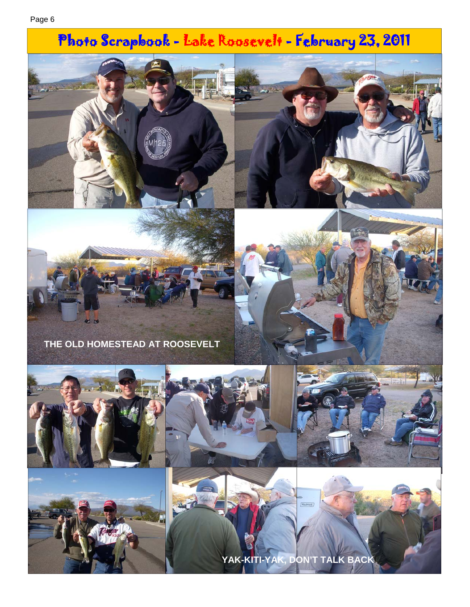# Photo Scrapbook - Lake Roosevelt - February 23, 2011



**THE OLD HOMESTEAD AT ROOSEVELT** 











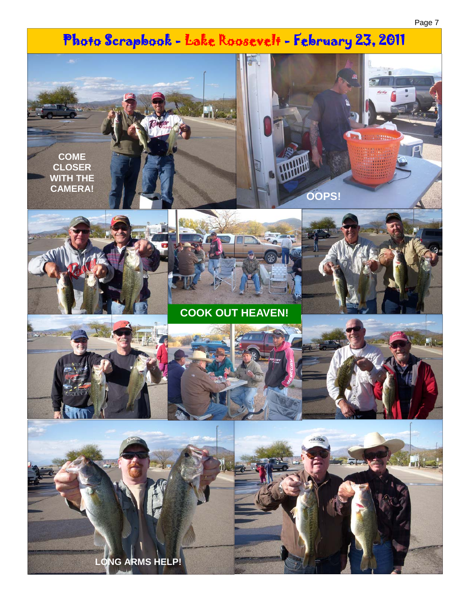